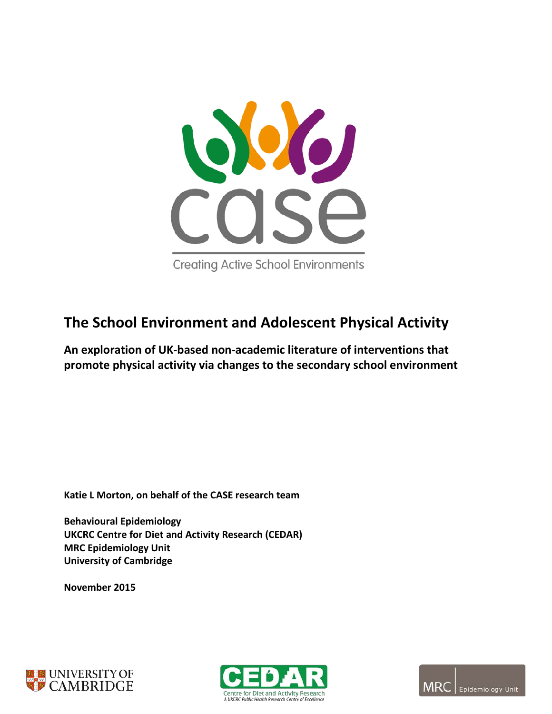

# **The School Environment and Adolescent Physical Activity**

**An exploration of UK-based non-academic literature of interventions that promote physical activity via changes to the secondary school environment**

**Katie L Morton, on behalf of the CASE research team**

**Behavioural Epidemiology UKCRC Centre for Diet and Activity Research (CEDAR) MRC Epidemiology Unit University of Cambridge** 

**November 2015**





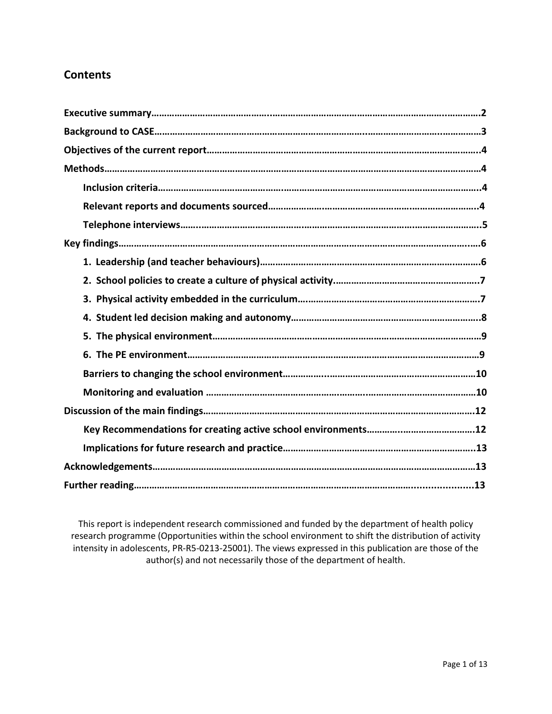# **Contents**

This report is independent research commissioned and funded by the department of health policy research programme (Opportunities within the school environment to shift the distribution of activity intensity in adolescents, PR-R5-0213-25001). The views expressed in this publication are those of the author(s) and not necessarily those of the department of health.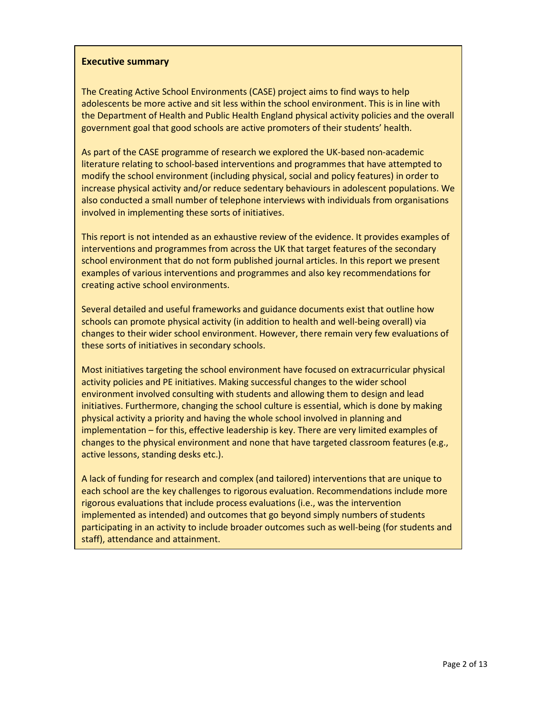#### **Executive summary**

The Creating Active School Environments (CASE) project aims to find ways to help adolescents be more active and sit less within the school environment. This is in line with the Department of Health and Public Health England physical activity policies and the overall government goal that good schools are active promoters of their students' health.

As part of the CASE programme of research we explored the UK-based non-academic literature relating to school-based interventions and programmes that have attempted to modify the school environment (including physical, social and policy features) in order to increase physical activity and/or reduce sedentary behaviours in adolescent populations. We also conducted a small number of telephone interviews with individuals from organisations involved in implementing these sorts of initiatives.

This report is not intended as an exhaustive review of the evidence. It provides examples of interventions and programmes from across the UK that target features of the secondary school environment that do not form published journal articles. In this report we present examples of various interventions and programmes and also key recommendations for creating active school environments.

Several detailed and useful frameworks and guidance documents exist that outline how schools can promote physical activity (in addition to health and well-being overall) via changes to their wider school environment. However, there remain very few evaluations of these sorts of initiatives in secondary schools.

Most initiatives targeting the school environment have focused on extracurricular physical activity policies and PE initiatives. Making successful changes to the wider school environment involved consulting with students and allowing them to design and lead initiatives. Furthermore, changing the school culture is essential, which is done by making physical activity a priority and having the whole school involved in planning and implementation – for this, effective leadership is key. There are very limited examples of changes to the physical environment and none that have targeted classroom features (e.g., active lessons, standing desks etc.).

A lack of funding for research and complex (and tailored) interventions that are unique to each school are the key challenges to rigorous evaluation. Recommendations include more rigorous evaluations that include process evaluations (i.e., was the intervention implemented as intended) and outcomes that go beyond simply numbers of students participating in an activity to include broader outcomes such as well-being (for students and staff), attendance and attainment.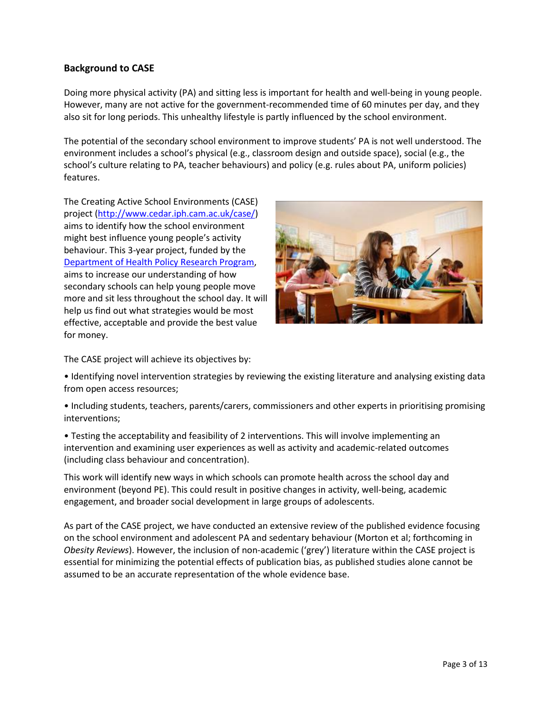# **Background to CASE**

Doing more physical activity (PA) and sitting less is important for health and well-being in young people. However, many are not active for the government-recommended time of 60 minutes per day, and they also sit for long periods. This unhealthy lifestyle is partly influenced by the school environment.

The potential of the secondary school environment to improve students' PA is not well understood. The environment includes a school's physical (e.g., classroom design and outside space), social (e.g., the school's culture relating to PA, teacher behaviours) and policy (e.g. rules about PA, uniform policies) features.

The Creating Active School Environments (CASE) project [\(http://www.cedar.iph.cam.ac.uk/case/\)](http://www.cedar.iph.cam.ac.uk/case/) aims to identify how the school environment might best influence young people's activity behaviour. This 3-year project, funded by the [Department of Health Policy Research Program,](http://www.prp-ccf.org.uk/) aims to increase our understanding of how secondary schools can help young people move more and sit less throughout the school day. It will help us find out what strategies would be most effective, acceptable and provide the best value for money.



The CASE project will achieve its objectives by:

• Identifying novel intervention strategies by reviewing the existing literature and analysing existing data from open access resources;

• Including students, teachers, parents/carers, commissioners and other experts in prioritising promising interventions;

• Testing the acceptability and feasibility of 2 interventions. This will involve implementing an intervention and examining user experiences as well as activity and academic-related outcomes (including class behaviour and concentration).

This work will identify new ways in which schools can promote health across the school day and environment (beyond PE). This could result in positive changes in activity, well-being, academic engagement, and broader social development in large groups of adolescents.

As part of the CASE project, we have conducted an extensive review of the published evidence focusing on the school environment and adolescent PA and sedentary behaviour (Morton et al; forthcoming in *Obesity Reviews*). However, the inclusion of non-academic ('grey') literature within the CASE project is essential for minimizing the potential effects of publication bias, as published studies alone cannot be assumed to be an accurate representation of the whole evidence base.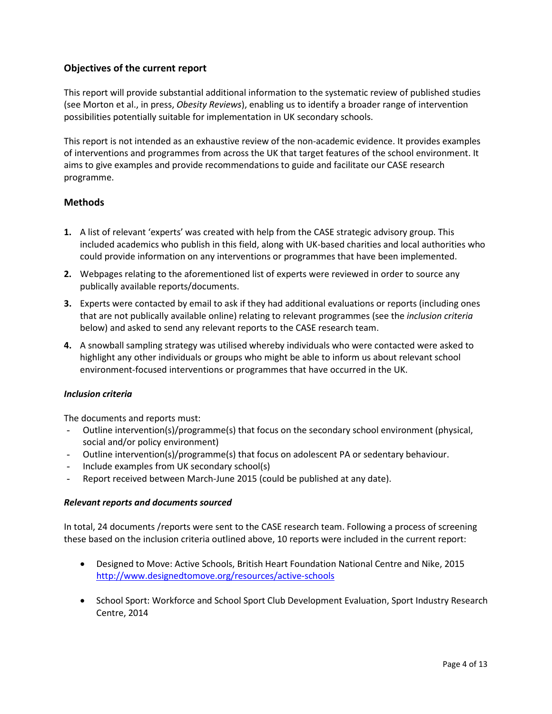# **Objectives of the current report**

This report will provide substantial additional information to the systematic review of published studies (see Morton et al., in press, *Obesity Reviews*), enabling us to identify a broader range of intervention possibilities potentially suitable for implementation in UK secondary schools.

This report is not intended as an exhaustive review of the non-academic evidence. It provides examples of interventions and programmes from across the UK that target features of the school environment. It aims to give examples and provide recommendations to guide and facilitate our CASE research programme.

# **Methods**

- **1.** A list of relevant 'experts' was created with help from the CASE strategic advisory group. This included academics who publish in this field, along with UK-based charities and local authorities who could provide information on any interventions or programmes that have been implemented.
- **2.** Webpages relating to the aforementioned list of experts were reviewed in order to source any publically available reports/documents.
- **3.** Experts were contacted by email to ask if they had additional evaluations or reports (including ones that are not publically available online) relating to relevant programmes (see the *inclusion criteria* below) and asked to send any relevant reports to the CASE research team.
- **4.** A snowball sampling strategy was utilised whereby individuals who were contacted were asked to highlight any other individuals or groups who might be able to inform us about relevant school environment-focused interventions or programmes that have occurred in the UK.

#### *Inclusion criteria*

The documents and reports must:

- Outline intervention(s)/programme(s) that focus on the secondary school environment (physical, social and/or policy environment)
- Outline intervention(s)/programme(s) that focus on adolescent PA or sedentary behaviour.
- Include examples from UK secondary school(s)
- Report received between March-June 2015 (could be published at any date).

#### *Relevant reports and documents sourced*

In total, 24 documents /reports were sent to the CASE research team. Following a process of screening these based on the inclusion criteria outlined above, 10 reports were included in the current report:

- Designed to Move: Active Schools, British Heart Foundation National Centre and Nike, 2015 <http://www.designedtomove.org/resources/active-schools>
- School Sport: Workforce and School Sport Club Development Evaluation, Sport Industry Research Centre, 2014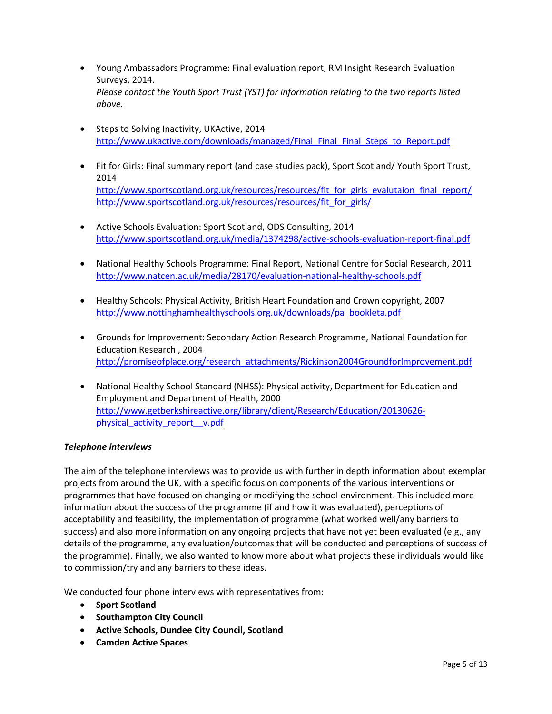- Young Ambassadors Programme: Final evaluation report, RM Insight Research Evaluation Surveys, 2014. *Please contact the [Youth Sport Trust](http://www.youthsporttrust.org/) (YST) for information relating to the two reports listed above.*
- Steps to Solving Inactivity, UKActive, 2014 [http://www.ukactive.com/downloads/managed/Final\\_Final\\_Final\\_Steps\\_to\\_Report.pdf](http://www.ukactive.com/downloads/managed/Final_Final_Final_Steps_to_Report.pdf)
- Fit for Girls: Final summary report (and case studies pack), Sport Scotland/ Youth Sport Trust, 2014 [http://www.sportscotland.org.uk/resources/resources/fit\\_for\\_girls\\_evalutaion\\_final\\_report/](http://www.sportscotland.org.uk/resources/resources/fit_for_girls_evalutaion_final_report/) [http://www.sportscotland.org.uk/resources/resources/fit\\_for\\_girls/](http://www.sportscotland.org.uk/resources/resources/fit_for_girls/)
- Active Schools Evaluation: Sport Scotland, ODS Consulting, 2014 <http://www.sportscotland.org.uk/media/1374298/active-schools-evaluation-report-final.pdf>
- National Healthy Schools Programme: Final Report, National Centre for Social Research, 2011 <http://www.natcen.ac.uk/media/28170/evaluation-national-healthy-schools.pdf>
- Healthy Schools: Physical Activity, British Heart Foundation and Crown copyright, 2007 [http://www.nottinghamhealthyschools.org.uk/downloads/pa\\_bookleta.pdf](http://www.nottinghamhealthyschools.org.uk/downloads/pa_bookleta.pdf)
- Grounds for Improvement: Secondary Action Research Programme, National Foundation for Education Research , 2004 [http://promiseofplace.org/research\\_attachments/Rickinson2004GroundforImprovement.pdf](http://promiseofplace.org/research_attachments/Rickinson2004GroundforImprovement.pdf)
- National Healthy School Standard (NHSS): Physical activity, Department for Education and Employment and Department of Health, 2000 [http://www.getberkshireactive.org/library/client/Research/Education/20130626](http://www.getberkshireactive.org/library/client/Research/Education/20130626-physical_activity_report__v.pdf) [physical\\_activity\\_report\\_\\_v.pdf](http://www.getberkshireactive.org/library/client/Research/Education/20130626-physical_activity_report__v.pdf)

# *Telephone interviews*

The aim of the telephone interviews was to provide us with further in depth information about exemplar projects from around the UK, with a specific focus on components of the various interventions or programmes that have focused on changing or modifying the school environment. This included more information about the success of the programme (if and how it was evaluated), perceptions of acceptability and feasibility, the implementation of programme (what worked well/any barriers to success) and also more information on any ongoing projects that have not yet been evaluated (e.g., any details of the programme, any evaluation/outcomes that will be conducted and perceptions of success of the programme). Finally, we also wanted to know more about what projects these individuals would like to commission/try and any barriers to these ideas.

We conducted four phone interviews with representatives from:

- **Sport Scotland**
- **Southampton City Council**
- **Active Schools, Dundee City Council, Scotland**
- **Camden Active Spaces**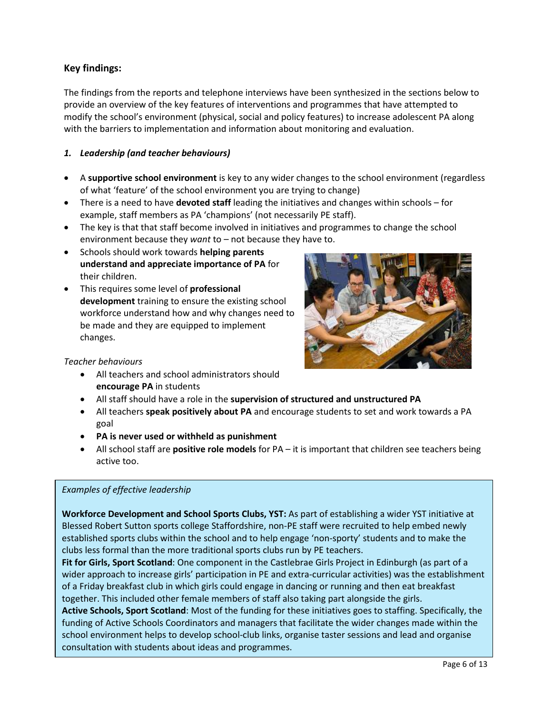# **Key findings:**

The findings from the reports and telephone interviews have been synthesized in the sections below to provide an overview of the key features of interventions and programmes that have attempted to modify the school's environment (physical, social and policy features) to increase adolescent PA along with the barriers to implementation and information about monitoring and evaluation.

# *1. Leadership (and teacher behaviours)*

- A **supportive school environment** is key to any wider changes to the school environment (regardless of what 'feature' of the school environment you are trying to change)
- There is a need to have **devoted staff** leading the initiatives and changes within schools for example, staff members as PA 'champions' (not necessarily PE staff).
- The key is that that staff become involved in initiatives and programmes to change the school environment because they *want* to – not because they have to.
- Schools should work towards **helping parents understand and appreciate importance of PA** for their children.
- This requires some level of **professional development** training to ensure the existing school workforce understand how and why changes need to be made and they are equipped to implement changes.



#### *Teacher behaviours*

- All teachers and school administrators should **encourage PA** in students
- All staff should have a role in the **supervision of structured and unstructured PA**
- All teachers **speak positively about PA** and encourage students to set and work towards a PA goal
- **PA is never used or withheld as punishment**
- All school staff are **positive role models** for PA it is important that children see teachers being active too.

#### *Examples of effective leadership*

**Workforce Development and School Sports Clubs, YST:** As part of establishing a wider YST initiative at Blessed Robert Sutton sports college Staffordshire, non-PE staff were recruited to help embed newly established sports clubs within the school and to help engage 'non-sporty' students and to make the clubs less formal than the more traditional sports clubs run by PE teachers.

**Fit for Girls, Sport Scotland**: One component in the Castlebrae Girls Project in Edinburgh (as part of a wider approach to increase girls' participation in PE and extra-curricular activities) was the establishment of a Friday breakfast club in which girls could engage in dancing or running and then eat breakfast together. This included other female members of staff also taking part alongside the girls.

**Active Schools, Sport Scotland**: Most of the funding for these initiatives goes to staffing. Specifically, the funding of Active Schools Coordinators and managers that facilitate the wider changes made within the school environment helps to develop school-club links, organise taster sessions and lead and organise consultation with students about ideas and programmes.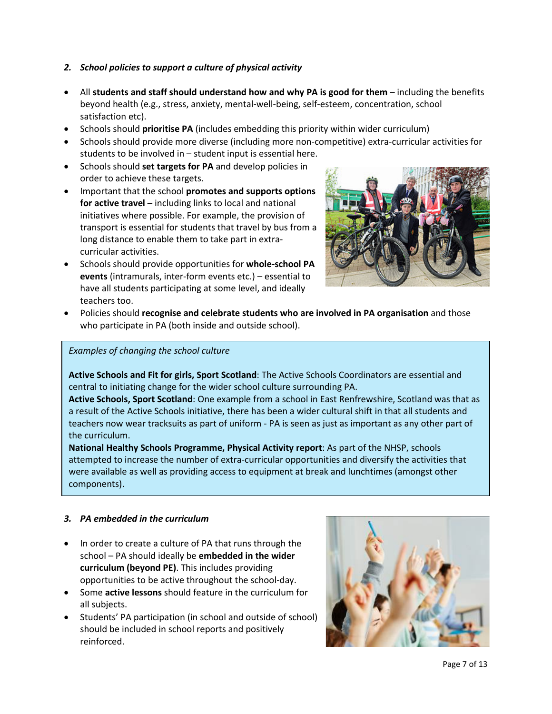# *2. School policies to support a culture of physical activity*

- All **students and staff should understand how and why PA is good for them** including the benefits beyond health (e.g., stress, anxiety, mental-well-being, self-esteem, concentration, school satisfaction etc).
- Schools should **prioritise PA** (includes embedding this priority within wider curriculum)
- Schools should provide more diverse (including more non-competitive) extra-curricular activities for students to be involved in – student input is essential here.
- Schools should **set targets for PA** and develop policies in order to achieve these targets.
- Important that the school **promotes and supports options for active travel** – including links to local and national initiatives where possible. For example, the provision of transport is essential for students that travel by bus from a long distance to enable them to take part in extracurricular activities.
- Schools should provide opportunities for **whole-school PA events** (intramurals, inter-form events etc.) – essential to have all students participating at some level, and ideally teachers too.



• Policies should **recognise and celebrate students who are involved in PA organisation** and those who participate in PA (both inside and outside school).

#### *Examples of changing the school culture*

**Active Schools and Fit for girls, Sport Scotland**: The Active Schools Coordinators are essential and central to initiating change for the wider school culture surrounding PA.

**Active Schools, Sport Scotland**: One example from a school in East Renfrewshire, Scotland was that as a result of the Active Schools initiative, there has been a wider cultural shift in that all students and teachers now wear tracksuits as part of uniform - PA is seen as just as important as any other part of the curriculum.

**National Healthy Schools Programme, Physical Activity report**: As part of the NHSP, schools attempted to increase the number of extra-curricular opportunities and diversify the activities that were available as well as providing access to equipment at break and lunchtimes (amongst other components).

#### *3. PA embedded in the curriculum*

- In order to create a culture of PA that runs through the school – PA should ideally be **embedded in the wider curriculum (beyond PE)**. This includes providing opportunities to be active throughout the school-day.
- Some **active lessons** should feature in the curriculum for all subjects.
- Students' PA participation (in school and outside of school) should be included in school reports and positively reinforced.

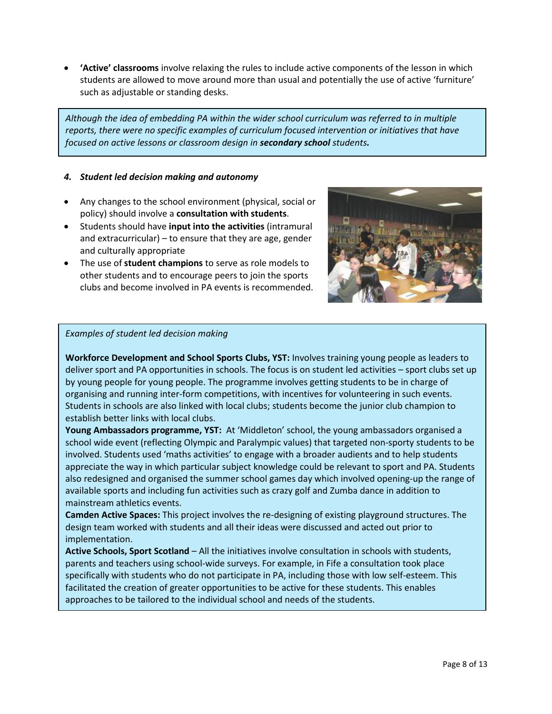• **'Active' classrooms** involve relaxing the rules to include active components of the lesson in which students are allowed to move around more than usual and potentially the use of active 'furniture' such as adjustable or standing desks.

*Although the idea of embedding PA within the wider school curriculum was referred to in multiple reports, there were no specific examples of curriculum focused intervention or initiatives that have focused on active lessons or classroom design in secondary school students.*

#### *4. Student led decision making and autonomy*

- Any changes to the school environment (physical, social or policy) should involve a **consultation with students**.
- Students should have **input into the activities** (intramural and extracurricular) – to ensure that they are age, gender and culturally appropriate
- The use of **student champions** to serve as role models to other students and to encourage peers to join the sports clubs and become involved in PA events is recommended.



#### *Examples of student led decision making*

**Workforce Development and School Sports Clubs, YST:** Involves training young people as leaders to deliver sport and PA opportunities in schools. The focus is on student led activities – sport clubs set up by young people for young people. The programme involves getting students to be in charge of organising and running inter-form competitions, with incentives for volunteering in such events. Students in schools are also linked with local clubs; students become the junior club champion to establish better links with local clubs.

**Young Ambassadors programme, YST:** At 'Middleton' school, the young ambassadors organised a school wide event (reflecting Olympic and Paralympic values) that targeted non-sporty students to be involved. Students used 'maths activities' to engage with a broader audients and to help students appreciate the way in which particular subject knowledge could be relevant to sport and PA. Students also redesigned and organised the summer school games day which involved opening-up the range of available sports and including fun activities such as crazy golf and Zumba dance in addition to mainstream athletics events.

**Camden Active Spaces:** This project involves the re-designing of existing playground structures. The design team worked with students and all their ideas were discussed and acted out prior to implementation.

**Active Schools, Sport Scotland** – All the initiatives involve consultation in schools with students, parents and teachers using school-wide surveys. For example, in Fife a consultation took place specifically with students who do not participate in PA, including those with low self-esteem. This facilitated the creation of greater opportunities to be active for these students. This enables approaches to be tailored to the individual school and needs of the students.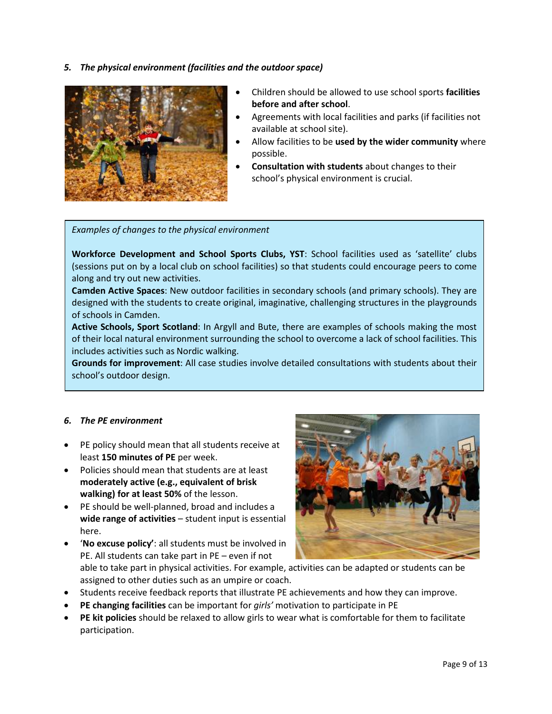*5. The physical environment (facilities and the outdoor space)*



- Children should be allowed to use school sports **facilities before and after school**.
- Agreements with local facilities and parks (if facilities not available at school site).
- Allow facilities to be **used by the wider community** where possible.
- **Consultation with students** about changes to their school's physical environment is crucial.

#### *Examples of changes to the physical environment*

**Workforce Development and School Sports Clubs, YST**: School facilities used as 'satellite' clubs (sessions put on by a local club on school facilities) so that students could encourage peers to come along and try out new activities.

**Camden Active Spaces**: New outdoor facilities in secondary schools (and primary schools). They are designed with the students to create original, imaginative, challenging structures in the playgrounds of schools in Camden.

**Active Schools, Sport Scotland**: In Argyll and Bute, there are examples of schools making the most of their local natural environment surrounding the school to overcome a lack of school facilities. This includes activities such as Nordic walking.

**Grounds for improvement**: All case studies involve detailed consultations with students about their school's outdoor design.

#### *6. The PE environment*

- PE policy should mean that all students receive at least **150 minutes of PE** per week.
- Policies should mean that students are at least **moderately active (e.g., equivalent of brisk walking) for at least 50%** of the lesson.
- PE should be well-planned, broad and includes a **wide range of activities** – student input is essential here.
- '**No excuse policy'**: all students must be involved in PE. All students can take part in PE – even if not



able to take part in physical activities. For example, activities can be adapted or students can be assigned to other duties such as an umpire or coach.

- Students receive feedback reports that illustrate PE achievements and how they can improve.
- **PE changing facilities** can be important for *girls'* motivation to participate in PE
- **PE kit policies** should be relaxed to allow girls to wear what is comfortable for them to facilitate participation.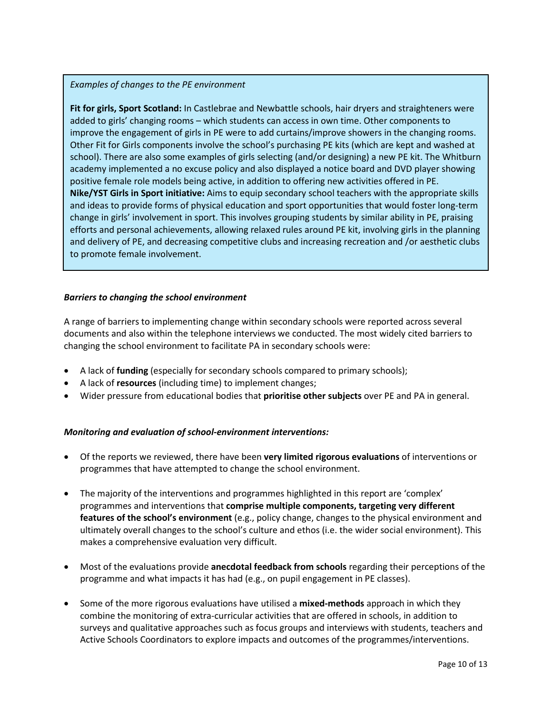#### *Examples of changes to the PE environment*

**Fit for girls, Sport Scotland:** In Castlebrae and Newbattle schools, hair dryers and straighteners were added to girls' changing rooms – which students can access in own time. Other components to improve the engagement of girls in PE were to add curtains/improve showers in the changing rooms. Other Fit for Girls components involve the school's purchasing PE kits (which are kept and washed at school). There are also some examples of girls selecting (and/or designing) a new PE kit. The Whitburn academy implemented a no excuse policy and also displayed a notice board and DVD player showing positive female role models being active, in addition to offering new activities offered in PE. **Nike/YST Girls in Sport initiative:** Aims to equip secondary school teachers with the appropriate skills and ideas to provide forms of physical education and sport opportunities that would foster long-term change in girls' involvement in sport. This involves grouping students by similar ability in PE, praising efforts and personal achievements, allowing relaxed rules around PE kit, involving girls in the planning and delivery of PE, and decreasing competitive clubs and increasing recreation and /or aesthetic clubs to promote female involvement.

#### *Barriers to changing the school environment*

A range of barriers to implementing change within secondary schools were reported across several documents and also within the telephone interviews we conducted. The most widely cited barriers to changing the school environment to facilitate PA in secondary schools were:

- A lack of **funding** (especially for secondary schools compared to primary schools);
- A lack of **resources** (including time) to implement changes;
- Wider pressure from educational bodies that **prioritise other subjects** over PE and PA in general.

#### *Monitoring and evaluation of school-environment interventions:*

- Of the reports we reviewed, there have been **very limited rigorous evaluations** of interventions or programmes that have attempted to change the school environment.
- The majority of the interventions and programmes highlighted in this report are 'complex' programmes and interventions that **comprise multiple components, targeting very different features of the school's environment** (e.g., policy change, changes to the physical environment and ultimately overall changes to the school's culture and ethos (i.e. the wider social environment). This makes a comprehensive evaluation very difficult.
- Most of the evaluations provide **anecdotal feedback from schools** regarding their perceptions of the programme and what impacts it has had (e.g., on pupil engagement in PE classes).
- Some of the more rigorous evaluations have utilised a **mixed-methods** approach in which they combine the monitoring of extra-curricular activities that are offered in schools, in addition to surveys and qualitative approaches such as focus groups and interviews with students, teachers and Active Schools Coordinators to explore impacts and outcomes of the programmes/interventions.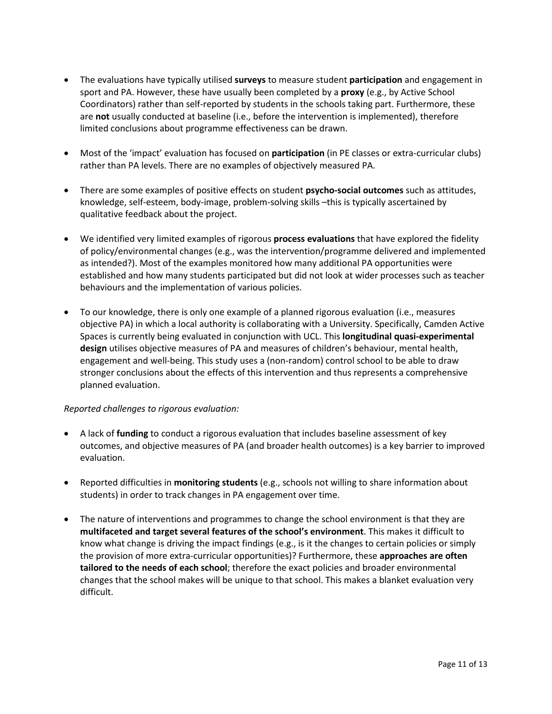- The evaluations have typically utilised **surveys** to measure student **participation** and engagement in sport and PA. However, these have usually been completed by a **proxy** (e.g., by Active School Coordinators) rather than self-reported by students in the schools taking part. Furthermore, these are **not** usually conducted at baseline (i.e., before the intervention is implemented), therefore limited conclusions about programme effectiveness can be drawn.
- Most of the 'impact' evaluation has focused on **participation** (in PE classes or extra-curricular clubs) rather than PA levels. There are no examples of objectively measured PA.
- There are some examples of positive effects on student **psycho-social outcomes** such as attitudes, knowledge, self-esteem, body-image, problem-solving skills –this is typically ascertained by qualitative feedback about the project.
- We identified very limited examples of rigorous **process evaluations** that have explored the fidelity of policy/environmental changes (e.g., was the intervention/programme delivered and implemented as intended?). Most of the examples monitored how many additional PA opportunities were established and how many students participated but did not look at wider processes such as teacher behaviours and the implementation of various policies.
- To our knowledge, there is only one example of a planned rigorous evaluation (i.e., measures objective PA) in which a local authority is collaborating with a University. Specifically, Camden Active Spaces is currently being evaluated in conjunction with UCL. This **longitudinal quasi-experimental design** utilises objective measures of PA and measures of children's behaviour, mental health, engagement and well-being. This study uses a (non-random) control school to be able to draw stronger conclusions about the effects of this intervention and thus represents a comprehensive planned evaluation.

#### *Reported challenges to rigorous evaluation:*

- A lack of **funding** to conduct a rigorous evaluation that includes baseline assessment of key outcomes, and objective measures of PA (and broader health outcomes) is a key barrier to improved evaluation.
- Reported difficulties in **monitoring students** (e.g., schools not willing to share information about students) in order to track changes in PA engagement over time.
- The nature of interventions and programmes to change the school environment is that they are **multifaceted and target several features of the school's environment**. This makes it difficult to know what change is driving the impact findings (e.g., is it the changes to certain policies or simply the provision of more extra-curricular opportunities)? Furthermore, these **approaches are often tailored to the needs of each school**; therefore the exact policies and broader environmental changes that the school makes will be unique to that school. This makes a blanket evaluation very difficult.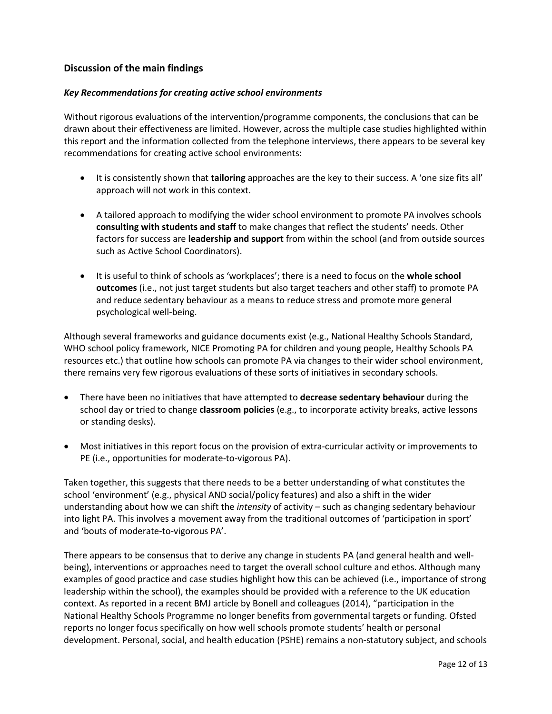# **Discussion of the main findings**

#### *Key Recommendations for creating active school environments*

Without rigorous evaluations of the intervention/programme components, the conclusions that can be drawn about their effectiveness are limited. However, across the multiple case studies highlighted within this report and the information collected from the telephone interviews, there appears to be several key recommendations for creating active school environments:

- It is consistently shown that **tailoring** approaches are the key to their success. A 'one size fits all' approach will not work in this context.
- A tailored approach to modifying the wider school environment to promote PA involves schools **consulting with students and staff** to make changes that reflect the students' needs. Other factors for success are **leadership and support** from within the school (and from outside sources such as Active School Coordinators).
- It is useful to think of schools as 'workplaces'; there is a need to focus on the **whole school outcomes** (i.e., not just target students but also target teachers and other staff) to promote PA and reduce sedentary behaviour as a means to reduce stress and promote more general psychological well-being.

Although several frameworks and guidance documents exist (e.g., National Healthy Schools Standard, WHO school policy framework, NICE Promoting PA for children and young people, Healthy Schools PA resources etc.) that outline how schools can promote PA via changes to their wider school environment, there remains very few rigorous evaluations of these sorts of initiatives in secondary schools.

- There have been no initiatives that have attempted to **decrease sedentary behaviour** during the school day or tried to change **classroom policies** (e.g., to incorporate activity breaks, active lessons or standing desks).
- Most initiatives in this report focus on the provision of extra-curricular activity or improvements to PE (i.e., opportunities for moderate-to-vigorous PA).

Taken together, this suggests that there needs to be a better understanding of what constitutes the school 'environment' (e.g., physical AND social/policy features) and also a shift in the wider understanding about how we can shift the *intensity* of activity – such as changing sedentary behaviour into light PA. This involves a movement away from the traditional outcomes of 'participation in sport' and 'bouts of moderate-to-vigorous PA'.

There appears to be consensus that to derive any change in students PA (and general health and wellbeing), interventions or approaches need to target the overall school culture and ethos. Although many examples of good practice and case studies highlight how this can be achieved (i.e., importance of strong leadership within the school), the examples should be provided with a reference to the UK education context. As reported in a recent BMJ article by Bonell and colleagues (2014), "participation in the National Healthy Schools Programme no longer benefits from governmental targets or funding. Ofsted reports no longer focus specifically on how well schools promote students' health or personal development. Personal, social, and health education (PSHE) remains a non-statutory subject, and schools